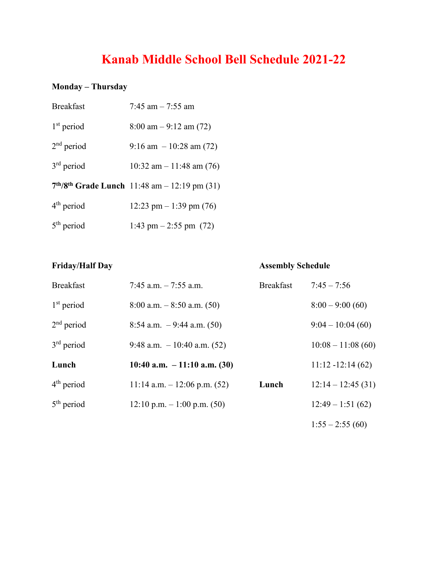# **Kanab Middle School Bell Schedule 2021-22**

#### **Monday – Thursday**

| <b>Breakfast</b> | 7:45 am $-$ 7:55 am                            |
|------------------|------------------------------------------------|
| $1st$ period     | $8:00 \text{ am} - 9:12 \text{ am} (72)$       |
| $2nd$ period     | $9:16$ am $-10:28$ am (72)                     |
| $3rd$ period     | 10:32 am $-$ 11:48 am (76)                     |
|                  | $7th/8th$ Grade Lunch 11:48 am - 12:19 pm (31) |
| $4th$ period     | 12:23 pm $-1:39$ pm (76)                       |
| $5th$ period     | 1:43 pm $-2:55$ pm $(72)$                      |

#### **Friday/Half Day Assembly Schedule**

| <b>Breakfast</b> | 7:45 a.m. $-7:55$ a.m.         | <b>Breakfast</b> | $7:45 - 7:56$       |
|------------------|--------------------------------|------------------|---------------------|
| $1st$ period     | $8:00$ a.m. $-8:50$ a.m. (50)  |                  | $8:00 - 9:00(60)$   |
| $2nd$ period     | 8:54 a.m. $-9:44$ a.m. (50)    |                  | $9:04 - 10:04(60)$  |
| $3rd$ period     | 9:48 a.m. $-10:40$ a.m. (52)   |                  | $10:08 - 11:08(60)$ |
| Lunch            | 10:40 a.m. $-11:10$ a.m. (30)  |                  | $11:12 - 12:14(62)$ |
| $4th$ period     | 11:14 a.m. $- 12:06$ p.m. (52) | Lunch            | $12:14 - 12:45(31)$ |
| $5th$ period     | $12:10$ p.m. $-1:00$ p.m. (50) |                  | $12:49 - 1:51(62)$  |
|                  |                                |                  | $1:55 - 2:55(60)$   |